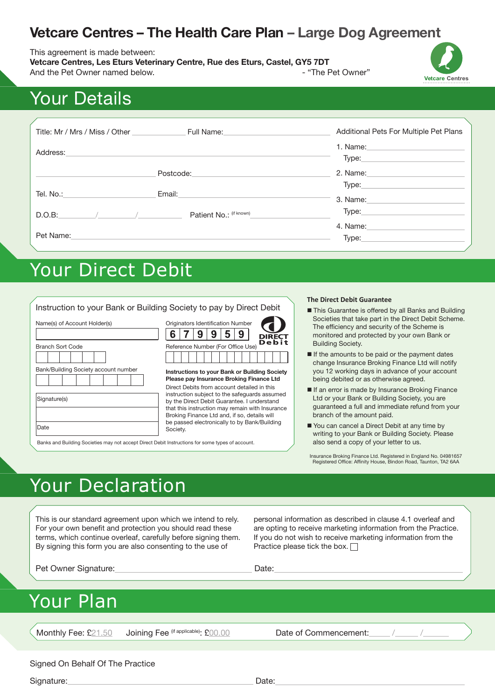# **Vetcare Centres – The Health Care Plan – Large Dog Agreement**

This agreement is made between:

**Vetcare Centres, Les Eturs Veterinary Centre, Rue des Eturs, Castel, GY5 7DT** And the Pet Owner named below. And the Pet Owner"





# Your Details

| Title: Mr / Mrs / Miss / Other | Full Name: The Contract of the Contract of the Contract of the Contract of the Contract of the Contract of the | Additional Pets For Multiple Pet Plans |
|--------------------------------|----------------------------------------------------------------------------------------------------------------|----------------------------------------|
| Address:                       |                                                                                                                | Type:                                  |
|                                | Postcode:                                                                                                      | 2. Name:                               |
| Tel. No.:                      | Email:                                                                                                         | Type:<br>3. Name:                      |
| D.O.B:                         | Patient No.: (if known)                                                                                        | Type:                                  |
| Pet Name:                      |                                                                                                                | 4. Name:<br>Type:                      |

# Your Direct Debit

|                                                                                                  |                                                                                                                                                                                                                                                | <b>The Direct Debit Guarantee</b>                                                                                                                                                                                                                                                                                                                                                                |
|--------------------------------------------------------------------------------------------------|------------------------------------------------------------------------------------------------------------------------------------------------------------------------------------------------------------------------------------------------|--------------------------------------------------------------------------------------------------------------------------------------------------------------------------------------------------------------------------------------------------------------------------------------------------------------------------------------------------------------------------------------------------|
| Name(s) of Account Holder(s)<br><b>Branch Sort Code</b><br>Bank/Building Society account number  | Instruction to your Bank or Building Society to pay by Direct Debit<br>Originators Identification Number<br>9<br>5<br>6<br><b>DIRECT</b><br>Debit<br>Reference Number (For Office Use)<br><b>Instructions to your Bank or Building Society</b> | ■ This Guarantee is offered by all Banks and Building<br>Societies that take part in the Direct Debit Scheme.<br>The efficiency and security of the Scheme is<br>monitored and protected by your own Bank or<br><b>Building Society.</b><br>If the amounts to be paid or the payment dates<br>change Insurance Broking Finance Ltd will notify<br>you 12 working days in advance of your account |
|                                                                                                  | Please pay Insurance Broking Finance Ltd                                                                                                                                                                                                       | being debited or as otherwise agreed.                                                                                                                                                                                                                                                                                                                                                            |
| Signature(s)                                                                                     | Direct Debits from account detailed in this<br>instruction subject to the safeguards assumed<br>by the Direct Debit Guarantee. I understand<br>that this instruction may remain with Insurance<br>Broking Finance Ltd and, if so, details will | If an error is made by Insurance Broking Finance<br>Ltd or your Bank or Building Society, you are<br>quaranteed a full and immediate refund from your<br>branch of the amount paid.                                                                                                                                                                                                              |
| Date                                                                                             | be passed electronically to by Bank/Building<br>Society.                                                                                                                                                                                       | You can cancel a Direct Debit at any time by<br>writing to your Bank or Building Society. Please                                                                                                                                                                                                                                                                                                 |
| Banks and Building Societies may not accept Direct Debit Instructions for some types of account. |                                                                                                                                                                                                                                                | also send a copy of your letter to us.                                                                                                                                                                                                                                                                                                                                                           |

Insurance Broking Finance Ltd. Registered in England No. 04981657 Registered Office: Affinity House, Bindon Road, Taunton, TA2 6AA

# Your Declaration

This is our standard agreement upon which we intend to rely. For your own benefit and protection you should read these terms, which continue overleaf, carefully before signing them. By signing this form you are also consenting to the use of

personal information as described in clause 4.1 overleaf and are opting to receive marketing information from the Practice. If you do not wish to receive marketing information from the Practice please tick the box.  $\Box$ 

Pet Owner Signature: Date: Date: Date:

# Your Plan

Monthly Fee: £21.50 Joining Fee <sup>(if applicable)</sup>: £00.00 Date of Commencement:

## Signed On Behalf Of The Practice

Signature: Date: Date: Date: Date: Date: Date: Date: Date: Date: Date: Date: Date: Date: Date: Date: Date: Date: Date: Date: Date: Date: Date: Date: Date: Date: Date: Date: Date: Date: Date: Date: Date: Date: Date: Date: D